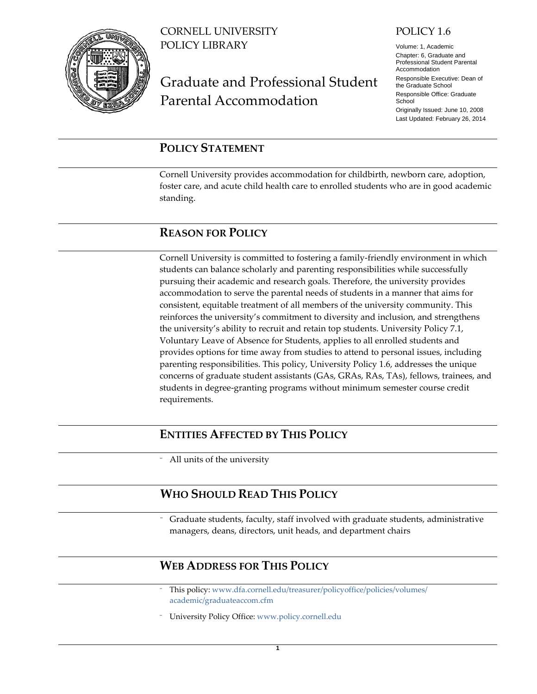

CORNELL UNIVERSITY POLICY LIBRARY

# Graduate and Professional Student Parental Accommodation

#### POLICY 1.6

Volume: 1, Academic Chapter: 6, Graduate and Professional Student Parental Accommodation Responsible Executive: Dean of the Graduate School Responsible Office: Graduate **School** Originally Issued: June 10, 2008 Last Updated: February 26, 2014

# <span id="page-0-0"></span>**POLICY STATEMENT**

Cornell University provides accommodation for childbirth, newborn care, adoption, foster care, and acute child health care to enrolled students who are in good academic standing.

# <span id="page-0-1"></span>**REASON FOR POLICY**

Cornell University is committed to fostering a family-friendly environment in which students can balance scholarly and parenting responsibilities while successfully pursuing their academic and research goals. Therefore, the university provides accommodation to serve the parental needs of students in a manner that aims for consistent, equitable treatment of all members of the university community. This reinforces the university's commitment to diversity and inclusion, and strengthens the university's ability to recruit and retain top students. University Policy 7.1, Voluntary Leave of Absence for Students, applies to all enrolled students and provides options for time away from studies to attend to personal issues, including parenting responsibilities. This policy, University Policy 1.6, addresses the unique concerns of graduate student assistants (GAs, GRAs, RAs, TAs), fellows, trainees, and students in degree-granting programs without minimum semester course credit requirements.

## <span id="page-0-2"></span>**ENTITIES AFFECTED BY THIS POLICY**

⁻ All units of the university

## <span id="page-0-3"></span>**WHO SHOULD READ THIS POLICY**

Graduate students, faculty, staff involved with graduate students, administrative managers, deans, directors, unit heads, and department chairs

## <span id="page-0-4"></span>**WEB ADDRESS FOR THIS POLICY**

- ⁻ This policy: [www.dfa.cornell.edu/treasurer/policyoffice/policies/volumes/](http://www.dfa.cornell.edu/treasurer/policyoffice/policies/volumes/academic/graduateaccom.cfm) [academic/graduateaccom.cfm](http://www.dfa.cornell.edu/treasurer/policyoffice/policies/volumes/academic/graduateaccom.cfm)
- ⁻ University Policy Office: [www.policy.cornell.edu](http://www.policy.cornell.edu/)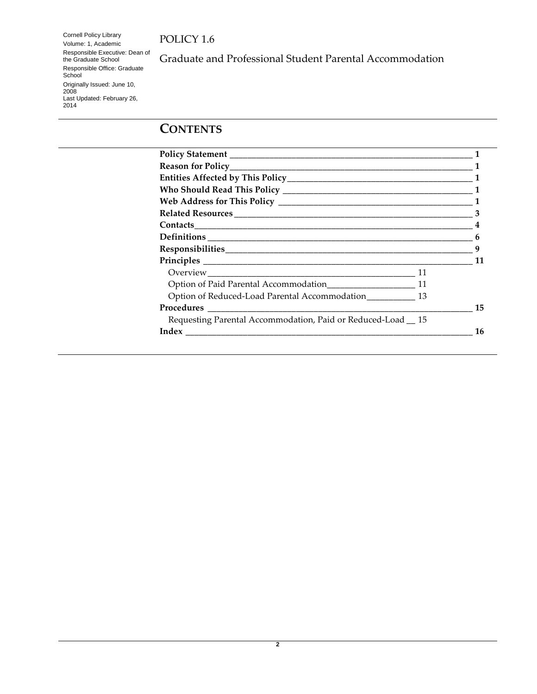Cornell Policy Library Volume: 1, Academic Responsible Executive: Dean of the Graduate School Responsible Office: Graduate School Originally Issued: June 10, 2008 Last Updated: February 26, 2014

Graduate and Professional Student Parental Accommodation

# **CONTENTS**

|                                                              | 11 |
|--------------------------------------------------------------|----|
|                                                              |    |
|                                                              |    |
| Option of Reduced-Load Parental Accommodation____________ 13 |    |
|                                                              | 15 |
| Requesting Parental Accommodation, Paid or Reduced-Load 15   |    |
|                                                              | 16 |
|                                                              |    |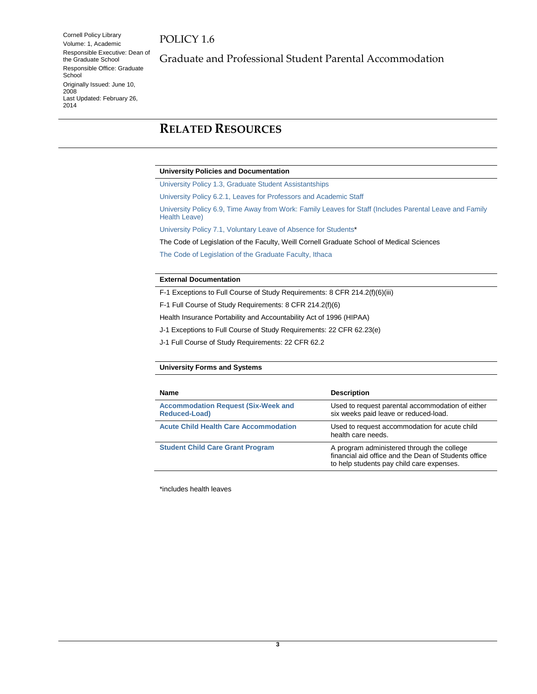Cornell Policy Library Volume: 1, Academic Responsible Executive: Dean of the Graduate School Responsible Office: Graduate **School** Originally Issued: June 10, 2008 Last Updated: February 26, 2014

Graduate and Professional Student Parental Accommodation

# <span id="page-2-0"></span>**RELATED RESOURCES**

#### **University Policies and Documentation**

[University Policy 1.3, Graduate Student Assistantships](http://www.dfa.cornell.edu/treasurer/policyoffice/policies/volumes/academic/assistantships.cfm)

[University Policy 6.2.1, Leaves for Professors and Academic Staff](http://www.dfa.cornell.edu/treasurer/policyoffice/policies/volumes/humanresources/leaves.cfm)

[University Policy 6.9, Time Away from Work: Family Leaves for Staff \(Includes Parental Leave and Family](http://www.dfa.cornell.edu/treasurer/policyoffice/policies/volumes/humanresources/timeaway.cfm)  [Health Leave\)](http://www.dfa.cornell.edu/treasurer/policyoffice/policies/volumes/humanresources/timeaway.cfm)

[University Policy 7.1, Voluntary Leave of Absence for Students\\*](http://www.dfa.cornell.edu/treasurer/policyoffice/policies/volumes/student/studentleave.cfm)

The Code of Legislation of the Faculty, Weill Cornell Graduate School of Medical Sciences

[The Code of Legislation of the Graduate Faculty, Ithaca](http://www.gradschool.cornell.edu/policies)

#### **External Documentation**

F-1 Exceptions to Full Course of Study Requirements: 8 CFR 214.2(f)(6)(iii)

F-1 Full Course of Study Requirements: 8 CFR 214.2(f)(6)

Health Insurance Portability and Accountability Act of 1996 (HIPAA)

J-1 Exceptions to Full Course of Study Requirements: 22 CFR 62.23(e)

J-1 Full Course of Study Requirements: 22 CFR 62.2

#### **University Forms and Systems**

| <b>Name</b>                                                        | <b>Description</b>                                                                                                                              |
|--------------------------------------------------------------------|-------------------------------------------------------------------------------------------------------------------------------------------------|
| <b>Accommodation Request (Six-Week and</b><br><b>Reduced-Load)</b> | Used to request parental accommodation of either<br>six weeks paid leave or reduced-load.                                                       |
| <b>Acute Child Health Care Accommodation</b>                       | Used to request accommodation for acute child<br>health care needs.                                                                             |
| <b>Student Child Care Grant Program</b>                            | A program administered through the college<br>financial aid office and the Dean of Students office<br>to help students pay child care expenses. |

\*includes health leaves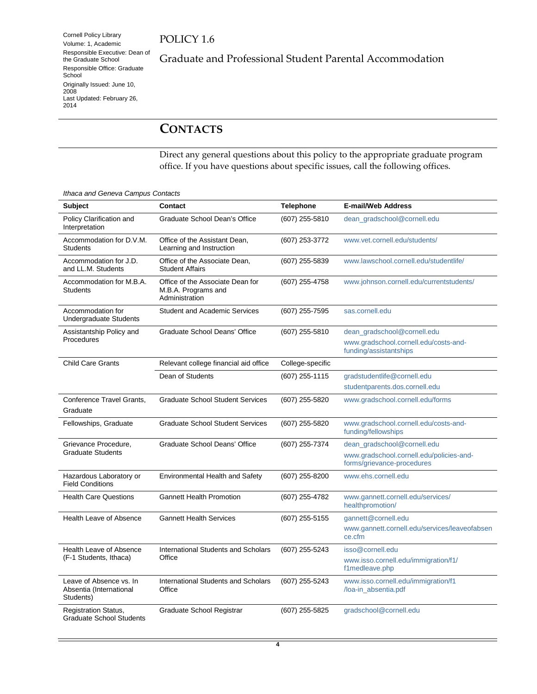Cornell Policy Library Volume: 1, Academic Responsible Executive: Dean of the Graduate School Responsible Office: Graduate School Originally Issued: June 10, 2008 Last Updated: February 26, 2014

Graduate and Professional Student Parental Accommodation

# <span id="page-3-0"></span>**CONTACTS**

Direct any general questions about this policy to the appropriate graduate program office. If you have questions about specific issues, call the following offices.

*Ithaca and Geneva Campus Contacts*

| <b>Subject</b>                                                  | Contact                                                                   | <b>Telephone</b> | <b>E-mail/Web Address</b>                                              |
|-----------------------------------------------------------------|---------------------------------------------------------------------------|------------------|------------------------------------------------------------------------|
| Policy Clarification and<br>Interpretation                      | Graduate School Dean's Office                                             | (607) 255-5810   | dean_gradschool@cornell.edu                                            |
| Accommodation for D.V.M.<br><b>Students</b>                     | Office of the Assistant Dean,<br>Learning and Instruction                 | (607) 253-3772   | www.vet.cornell.edu/students/                                          |
| Accommodation for J.D.<br>and LL.M. Students                    | Office of the Associate Dean,<br><b>Student Affairs</b>                   | (607) 255-5839   | www.lawschool.cornell.edu/studentlife/                                 |
| Accommodation for M.B.A.<br><b>Students</b>                     | Office of the Associate Dean for<br>M.B.A. Programs and<br>Administration | (607) 255-4758   | www.johnson.cornell.edu/currentstudents/                               |
| Accommodation for<br><b>Undergraduate Students</b>              | <b>Student and Academic Services</b>                                      | (607) 255-7595   | sas.cornell.edu                                                        |
| Assistantship Policy and                                        | Graduate School Deans' Office                                             | (607) 255-5810   | dean_gradschool@cornell.edu                                            |
| Procedures                                                      |                                                                           |                  | www.gradschool.cornell.edu/costs-and-<br>funding/assistantships        |
| <b>Child Care Grants</b>                                        | Relevant college financial aid office                                     | College-specific |                                                                        |
|                                                                 | Dean of Students                                                          | (607) 255-1115   | gradstudentlife@cornell.edu                                            |
|                                                                 |                                                                           |                  | studentparents.dos.cornell.edu                                         |
| Conference Travel Grants,<br>Graduate                           | <b>Graduate School Student Services</b>                                   | (607) 255-5820   | www.gradschool.cornell.edu/forms                                       |
| Fellowships, Graduate                                           | <b>Graduate School Student Services</b>                                   | (607) 255-5820   | www.gradschool.cornell.edu/costs-and-<br>funding/fellowships           |
| Grievance Procedure,                                            | Graduate School Deans' Office                                             | (607) 255-7374   | dean_gradschool@cornell.edu                                            |
| <b>Graduate Students</b>                                        |                                                                           |                  | www.gradschool.cornell.edu/policies-and-<br>forms/grievance-procedures |
| Hazardous Laboratory or<br><b>Field Conditions</b>              | <b>Environmental Health and Safety</b>                                    | (607) 255-8200   | www.ehs.cornell.edu                                                    |
| <b>Health Care Questions</b>                                    | <b>Gannett Health Promotion</b>                                           | (607) 255-4782   | www.gannett.cornell.edu/services/<br>healthpromotion/                  |
| Health Leave of Absence                                         | <b>Gannett Health Services</b>                                            | (607) 255-5155   | gannett@cornell.edu                                                    |
|                                                                 |                                                                           |                  | www.gannett.cornell.edu/services/leaveofabsen<br>ce.cfm                |
| Health Leave of Absence                                         | International Students and Scholars                                       | (607) 255-5243   | isso@cornell.edu                                                       |
| (F-1 Students, Ithaca)                                          | Office                                                                    |                  | www.isso.cornell.edu/immigration/f1/<br>f1medleave.php                 |
| Leave of Absence vs. In<br>Absentia (International<br>Students) | <b>International Students and Scholars</b><br>Office                      | (607) 255-5243   | www.isso.cornell.edu/immigration/f1<br>/loa-in_absentia.pdf            |
| <b>Registration Status,</b><br><b>Graduate School Students</b>  | Graduate School Registrar                                                 | (607) 255-5825   | gradschool@cornell.edu                                                 |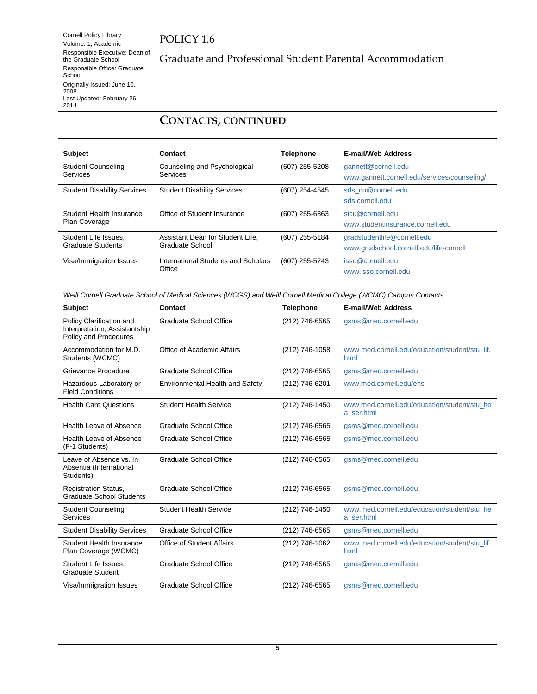Cornell Policy Library Volume: 1, Academic Responsible Executive: Dean of the Graduate School Responsible Office: Graduate School Originally Issued: June 10, 2008 Last Updated: February 26, 2014

# Graduate and Professional Student Parental Accommodation

## **CONTACTS, CONTINUED**

| <b>Subject</b>                                   | Contact                                             | <b>Telephone</b> | <b>E-mail/Web Address</b>                                              |
|--------------------------------------------------|-----------------------------------------------------|------------------|------------------------------------------------------------------------|
| <b>Student Counseling</b><br>Services            | Counseling and Psychological<br>Services            | (607) 255-5208   | gannett@cornell.edu<br>www.gannett.cornell.edu/services/counseling/    |
| <b>Student Disability Services</b>               | <b>Student Disability Services</b>                  | (607) 254-4545   | sds cu@cornell.edu<br>sds.cornell.edu                                  |
| Student Health Insurance<br><b>Plan Coverage</b> | Office of Student Insurance                         | (607) 255-6363   | sicu@cornell.edu<br>www.studentinsurance.cornell.edu                   |
| Student Life Issues.<br>Graduate Students        | Assistant Dean for Student Life,<br>Graduate School | (607) 255-5184   | gradstudentlife@cornell.edu<br>www.gradschool.cornell.edu/life-cornell |
| Visa/Immigration Issues                          | International Students and Scholars<br>Office       | (607) 255-5243   | isso@cornell.edu<br>www.isso.cornell.edu                               |

*Weill Cornell Graduate School of Medical Sciences (WCGS) and Weill Cornell Medical College (WCMC) Campus Contacts*

| <b>Subject</b>                                                                     | Contact                          | <b>Telephone</b> | <b>E-mail/Web Address</b>                                  |
|------------------------------------------------------------------------------------|----------------------------------|------------------|------------------------------------------------------------|
| Policy Clarification and<br>Interpretation; Assistantship<br>Policy and Procedures | <b>Graduate School Office</b>    | (212) 746-6565   | gsms@med.cornell.edu                                       |
| Accommodation for M.D.<br>Students (WCMC)                                          | Office of Academic Affairs       | (212) 746-1058   | www.med.cornell.edu/education/student/stu lif.<br>html     |
| Grievance Procedure                                                                | <b>Graduate School Office</b>    | (212) 746-6565   | gsms@med.cornell.edu                                       |
| Hazardous Laboratory or<br><b>Field Conditions</b>                                 | Environmental Health and Safety  | (212) 746-6201   | www.med.cornell.edu/ehs                                    |
| <b>Health Care Questions</b>                                                       | <b>Student Health Service</b>    | (212) 746-1450   | www.med.cornell.edu/education/student/stu_he<br>a ser.html |
| Health Leave of Absence                                                            | Graduate School Office           | (212) 746-6565   | gsms@med.cornell.edu                                       |
| Health Leave of Absence<br>(F-1 Students)                                          | <b>Graduate School Office</b>    | (212) 746-6565   | gsms@med.cornell.edu                                       |
| Leave of Absence vs. In<br>Absentia (International<br>Students)                    | Graduate School Office           | (212) 746-6565   | gsms@med.cornell.edu                                       |
| <b>Registration Status,</b><br><b>Graduate School Students</b>                     | Graduate School Office           | (212) 746-6565   | gsms@med.cornell.edu                                       |
| <b>Student Counseling</b><br>Services                                              | <b>Student Health Service</b>    | (212) 746-1450   | www.med.cornell.edu/education/student/stu_he<br>a ser.html |
| <b>Student Disability Services</b>                                                 | <b>Graduate School Office</b>    | (212) 746-6565   | gsms@med.cornell.edu                                       |
| Student Health Insurance<br>Plan Coverage (WCMC)                                   | <b>Office of Student Affairs</b> | (212) 746-1062   | www.med.cornell.edu/education/student/stu lif.<br>html     |
| Student Life Issues.<br><b>Graduate Student</b>                                    | <b>Graduate School Office</b>    | (212) 746-6565   | gsms@med.cornell.edu                                       |
| Visa/Immigration Issues                                                            | <b>Graduate School Office</b>    | (212) 746-6565   | asms@med.cornell.edu                                       |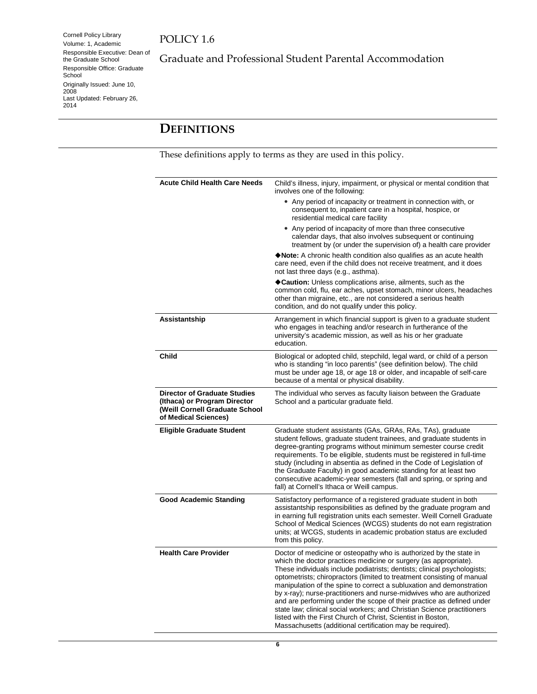Cornell Policy Library Volume: 1, Academic Responsible Executive: Dean of the Graduate School Responsible Office: Graduate School Originally Issued: June 10, 2008 Last Updated: February 26, 2014

Graduate and Professional Student Parental Accommodation

# <span id="page-5-0"></span>**DEFINITIONS**

These definitions apply to terms as they are used in this policy.

| <b>Acute Child Health Care Needs</b>                                                                                          | Child's illness, injury, impairment, or physical or mental condition that<br>involves one of the following:                                                                                                                                                                                                                                                                                                                                                                                                                                                                                                                                                                                                                   |
|-------------------------------------------------------------------------------------------------------------------------------|-------------------------------------------------------------------------------------------------------------------------------------------------------------------------------------------------------------------------------------------------------------------------------------------------------------------------------------------------------------------------------------------------------------------------------------------------------------------------------------------------------------------------------------------------------------------------------------------------------------------------------------------------------------------------------------------------------------------------------|
|                                                                                                                               | • Any period of incapacity or treatment in connection with, or<br>consequent to, inpatient care in a hospital, hospice, or<br>residential medical care facility                                                                                                                                                                                                                                                                                                                                                                                                                                                                                                                                                               |
|                                                                                                                               | • Any period of incapacity of more than three consecutive<br>calendar days, that also involves subsequent or continuing<br>treatment by (or under the supervision of) a health care provider                                                                                                                                                                                                                                                                                                                                                                                                                                                                                                                                  |
|                                                                                                                               | Note: A chronic health condition also qualifies as an acute health<br>care need, even if the child does not receive treatment, and it does<br>not last three days (e.g., asthma).                                                                                                                                                                                                                                                                                                                                                                                                                                                                                                                                             |
|                                                                                                                               | Caution: Unless complications arise, ailments, such as the<br>common cold, flu, ear aches, upset stomach, minor ulcers, headaches<br>other than migraine, etc., are not considered a serious health<br>condition, and do not qualify under this policy.                                                                                                                                                                                                                                                                                                                                                                                                                                                                       |
| Assistantship                                                                                                                 | Arrangement in which financial support is given to a graduate student<br>who engages in teaching and/or research in furtherance of the<br>university's academic mission, as well as his or her graduate<br>education.                                                                                                                                                                                                                                                                                                                                                                                                                                                                                                         |
| Child                                                                                                                         | Biological or adopted child, stepchild, legal ward, or child of a person<br>who is standing "in loco parentis" (see definition below). The child<br>must be under age 18, or age 18 or older, and incapable of self-care<br>because of a mental or physical disability.                                                                                                                                                                                                                                                                                                                                                                                                                                                       |
| <b>Director of Graduate Studies</b><br>(Ithaca) or Program Director<br>(Weill Cornell Graduate School<br>of Medical Sciences) | The individual who serves as faculty liaison between the Graduate<br>School and a particular graduate field.                                                                                                                                                                                                                                                                                                                                                                                                                                                                                                                                                                                                                  |
| <b>Eligible Graduate Student</b>                                                                                              | Graduate student assistants (GAs, GRAs, RAs, TAs), graduate<br>student fellows, graduate student trainees, and graduate students in<br>degree-granting programs without minimum semester course credit<br>requirements. To be eligible, students must be registered in full-time<br>study (including in absentia as defined in the Code of Legislation of<br>the Graduate Faculty) in good academic standing for at least two<br>consecutive academic-year semesters (fall and spring, or spring and<br>fall) at Cornell's Ithaca or Weill campus.                                                                                                                                                                            |
| <b>Good Academic Standing</b>                                                                                                 | Satisfactory performance of a registered graduate student in both<br>assistantship responsibilities as defined by the graduate program and<br>in earning full registration units each semester. Weill Cornell Graduate<br>School of Medical Sciences (WCGS) students do not earn registration<br>units; at WCGS, students in academic probation status are excluded<br>from this policy.                                                                                                                                                                                                                                                                                                                                      |
| <b>Health Care Provider</b>                                                                                                   | Doctor of medicine or osteopathy who is authorized by the state in<br>which the doctor practices medicine or surgery (as appropriate).<br>These individuals include podiatrists; dentists; clinical psychologists;<br>optometrists; chiropractors (limited to treatment consisting of manual<br>manipulation of the spine to correct a subluxation and demonstration<br>by x-ray); nurse-practitioners and nurse-midwives who are authorized<br>and are performing under the scope of their practice as defined under<br>state law; clinical social workers; and Christian Science practitioners<br>listed with the First Church of Christ, Scientist in Boston,<br>Massachusetts (additional certification may be required). |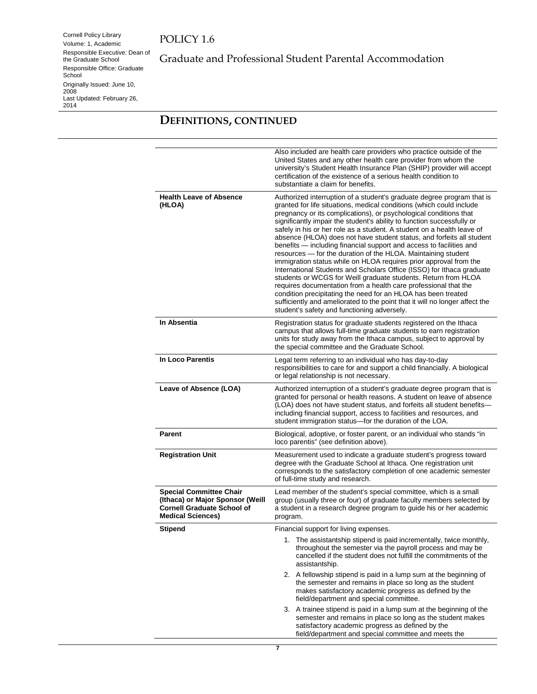Cornell Policy Library Volume: 1, Academic Responsible Executive: Dean of the Graduate School Responsible Office: Graduate School Originally Issued: June 10, 2008 Last Updated: February 26, 2014

Graduate and Professional Student Parental Accommodation

# **DEFINITIONS, CONTINUED**

|                                                                                                                                     | Also included are health care providers who practice outside of the<br>United States and any other health care provider from whom the<br>university's Student Health Insurance Plan (SHIP) provider will accept<br>certification of the existence of a serious health condition to<br>substantiate a claim for benefits.                                                                                                                                                                                                                                                                                                                                                                                                                                                                                                                                                                                                                                                                                                                                                   |
|-------------------------------------------------------------------------------------------------------------------------------------|----------------------------------------------------------------------------------------------------------------------------------------------------------------------------------------------------------------------------------------------------------------------------------------------------------------------------------------------------------------------------------------------------------------------------------------------------------------------------------------------------------------------------------------------------------------------------------------------------------------------------------------------------------------------------------------------------------------------------------------------------------------------------------------------------------------------------------------------------------------------------------------------------------------------------------------------------------------------------------------------------------------------------------------------------------------------------|
| <b>Health Leave of Absence</b><br>(HLOA)                                                                                            | Authorized interruption of a student's graduate degree program that is<br>granted for life situations, medical conditions (which could include<br>pregnancy or its complications), or psychological conditions that<br>significantly impair the student's ability to function successfully or<br>safely in his or her role as a student. A student on a health leave of<br>absence (HLOA) does not have student status, and forfeits all student<br>benefits - including financial support and access to facilities and<br>resources - for the duration of the HLOA. Maintaining student<br>immigration status while on HLOA requires prior approval from the<br>International Students and Scholars Office (ISSO) for Ithaca graduate<br>students or WCGS for Weill graduate students. Return from HLOA<br>requires documentation from a health care professional that the<br>condition precipitating the need for an HLOA has been treated<br>sufficiently and ameliorated to the point that it will no longer affect the<br>student's safety and functioning adversely. |
| In Absentia                                                                                                                         | Registration status for graduate students registered on the Ithaca<br>campus that allows full-time graduate students to earn registration<br>units for study away from the Ithaca campus, subject to approval by<br>the special committee and the Graduate School.                                                                                                                                                                                                                                                                                                                                                                                                                                                                                                                                                                                                                                                                                                                                                                                                         |
| In Loco Parentis                                                                                                                    | Legal term referring to an individual who has day-to-day<br>responsibilities to care for and support a child financially. A biological<br>or legal relationship is not necessary.                                                                                                                                                                                                                                                                                                                                                                                                                                                                                                                                                                                                                                                                                                                                                                                                                                                                                          |
| Leave of Absence (LOA)                                                                                                              | Authorized interruption of a student's graduate degree program that is<br>granted for personal or health reasons. A student on leave of absence<br>(LOA) does not have student status, and forfeits all student benefits-<br>including financial support, access to facilities and resources, and<br>student immigration status-for the duration of the LOA.                                                                                                                                                                                                                                                                                                                                                                                                                                                                                                                                                                                                                                                                                                               |
| <b>Parent</b>                                                                                                                       | Biological, adoptive, or foster parent, or an individual who stands "in<br>loco parentis" (see definition above).                                                                                                                                                                                                                                                                                                                                                                                                                                                                                                                                                                                                                                                                                                                                                                                                                                                                                                                                                          |
| <b>Registration Unit</b>                                                                                                            | Measurement used to indicate a graduate student's progress toward<br>degree with the Graduate School at Ithaca. One registration unit<br>corresponds to the satisfactory completion of one academic semester<br>of full-time study and research.                                                                                                                                                                                                                                                                                                                                                                                                                                                                                                                                                                                                                                                                                                                                                                                                                           |
| <b>Special Committee Chair</b><br>(Ithaca) or Major Sponsor (Weill<br><b>Cornell Graduate School of</b><br><b>Medical Sciences)</b> | Lead member of the student's special committee, which is a small<br>group (usually three or four) of graduate faculty members selected by<br>a student in a research degree program to guide his or her academic<br>program.                                                                                                                                                                                                                                                                                                                                                                                                                                                                                                                                                                                                                                                                                                                                                                                                                                               |
| <b>Stipend</b>                                                                                                                      | Financial support for living expenses.                                                                                                                                                                                                                                                                                                                                                                                                                                                                                                                                                                                                                                                                                                                                                                                                                                                                                                                                                                                                                                     |
|                                                                                                                                     | 1. The assistantship stipend is paid incrementally, twice monthly,<br>throughout the semester via the payroll process and may be<br>cancelled if the student does not fulfill the commitments of the<br>assistantship.                                                                                                                                                                                                                                                                                                                                                                                                                                                                                                                                                                                                                                                                                                                                                                                                                                                     |
|                                                                                                                                     | 2. A fellowship stipend is paid in a lump sum at the beginning of<br>the semester and remains in place so long as the student<br>makes satisfactory academic progress as defined by the<br>field/department and special committee.                                                                                                                                                                                                                                                                                                                                                                                                                                                                                                                                                                                                                                                                                                                                                                                                                                         |
|                                                                                                                                     | 3. A trainee stipend is paid in a lump sum at the beginning of the<br>semester and remains in place so long as the student makes<br>satisfactory academic progress as defined by the<br>field/department and special committee and meets the                                                                                                                                                                                                                                                                                                                                                                                                                                                                                                                                                                                                                                                                                                                                                                                                                               |

**7**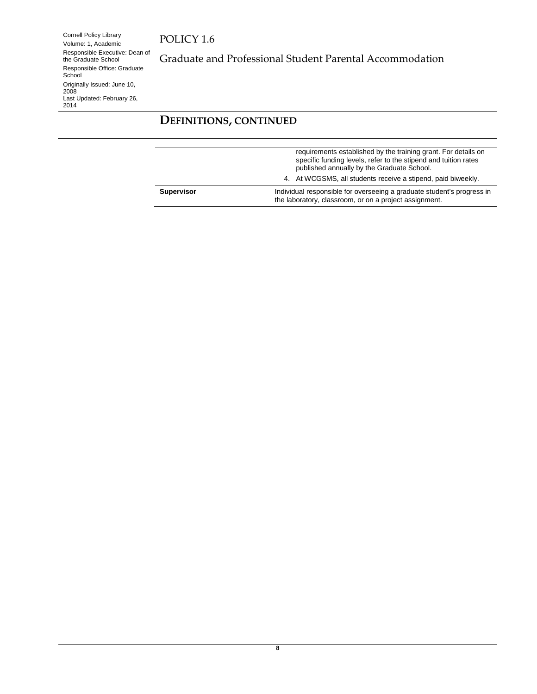Cornell Policy Library Volume: 1, Academic Responsible Executive: Dean of the Graduate School Responsible Office: Graduate School Originally Issued: June 10, 2008 Last Updated: February 26, 2014

Graduate and Professional Student Parental Accommodation

# **DEFINITIONS, CONTINUED**

| <b>Supervisor</b> | Individual responsible for overseeing a graduate student's progress in<br>the laboratory, classroom, or on a project assignment.                                                |
|-------------------|---------------------------------------------------------------------------------------------------------------------------------------------------------------------------------|
|                   | 4. At WCGSMS, all students receive a stipend, paid biweekly.                                                                                                                    |
|                   | requirements established by the training grant. For details on<br>specific funding levels, refer to the stipend and tuition rates<br>published annually by the Graduate School. |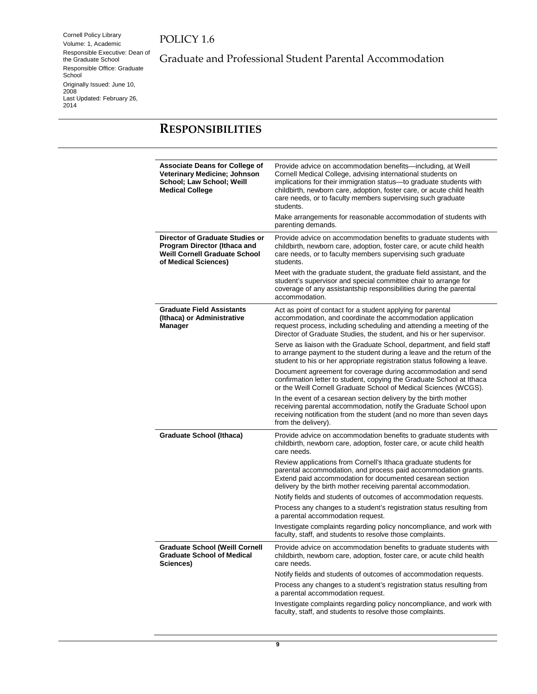Cornell Policy Library Volume: 1, Academic Responsible Executive: Dean of the Graduate School Responsible Office: Graduate School Originally Issued: June 10, 2008 Last Updated: February 26, 2014

Graduate and Professional Student Parental Accommodation

# <span id="page-8-0"></span>**RESPONSIBILITIES**

| <b>Associate Deans for College of</b><br><b>Veterinary Medicine; Johnson</b><br>School; Law School; Weill<br><b>Medical College</b> | Provide advice on accommodation benefits—including, at Weill<br>Cornell Medical College, advising international students on<br>implications for their immigration status-to graduate students with<br>childbirth, newborn care, adoption, foster care, or acute child health<br>care needs, or to faculty members supervising such graduate<br>students.<br>Make arrangements for reasonable accommodation of students with |
|-------------------------------------------------------------------------------------------------------------------------------------|-----------------------------------------------------------------------------------------------------------------------------------------------------------------------------------------------------------------------------------------------------------------------------------------------------------------------------------------------------------------------------------------------------------------------------|
|                                                                                                                                     | parenting demands.                                                                                                                                                                                                                                                                                                                                                                                                          |
| Director of Graduate Studies or<br>Program Director (Ithaca and<br><b>Weill Cornell Graduate School</b><br>of Medical Sciences)     | Provide advice on accommodation benefits to graduate students with<br>childbirth, newborn care, adoption, foster care, or acute child health<br>care needs, or to faculty members supervising such graduate<br>students.                                                                                                                                                                                                    |
|                                                                                                                                     | Meet with the graduate student, the graduate field assistant, and the<br>student's supervisor and special committee chair to arrange for<br>coverage of any assistantship responsibilities during the parental<br>accommodation.                                                                                                                                                                                            |
| <b>Graduate Field Assistants</b><br>(Ithaca) or Administrative<br>Manager                                                           | Act as point of contact for a student applying for parental<br>accommodation, and coordinate the accommodation application<br>request process, including scheduling and attending a meeting of the<br>Director of Graduate Studies, the student, and his or her supervisor.                                                                                                                                                 |
|                                                                                                                                     | Serve as liaison with the Graduate School, department, and field staff<br>to arrange payment to the student during a leave and the return of the<br>student to his or her appropriate registration status following a leave.                                                                                                                                                                                                |
|                                                                                                                                     | Document agreement for coverage during accommodation and send<br>confirmation letter to student, copying the Graduate School at Ithaca<br>or the Weill Cornell Graduate School of Medical Sciences (WCGS).                                                                                                                                                                                                                  |
|                                                                                                                                     | In the event of a cesarean section delivery by the birth mother<br>receiving parental accommodation, notify the Graduate School upon<br>receiving notification from the student (and no more than seven days<br>from the delivery).                                                                                                                                                                                         |
| <b>Graduate School (Ithaca)</b>                                                                                                     | Provide advice on accommodation benefits to graduate students with<br>childbirth, newborn care, adoption, foster care, or acute child health<br>care needs.                                                                                                                                                                                                                                                                 |
|                                                                                                                                     | Review applications from Cornell's Ithaca graduate students for<br>parental accommodation, and process paid accommodation grants.<br>Extend paid accommodation for documented cesarean section<br>delivery by the birth mother receiving parental accommodation.                                                                                                                                                            |
|                                                                                                                                     | Notify fields and students of outcomes of accommodation requests.                                                                                                                                                                                                                                                                                                                                                           |
|                                                                                                                                     | Process any changes to a student's registration status resulting from<br>a parental accommodation request.                                                                                                                                                                                                                                                                                                                  |
|                                                                                                                                     | Investigate complaints regarding policy noncompliance, and work with<br>faculty, staff, and students to resolve those complaints.                                                                                                                                                                                                                                                                                           |
| <b>Graduate School (Weill Cornell</b><br><b>Graduate School of Medical</b><br>Sciences)                                             | Provide advice on accommodation benefits to graduate students with<br>childbirth, newborn care, adoption, foster care, or acute child health<br>care needs.                                                                                                                                                                                                                                                                 |
|                                                                                                                                     | Notify fields and students of outcomes of accommodation requests.                                                                                                                                                                                                                                                                                                                                                           |
|                                                                                                                                     | Process any changes to a student's registration status resulting from<br>a parental accommodation request.                                                                                                                                                                                                                                                                                                                  |
|                                                                                                                                     | Investigate complaints regarding policy noncompliance, and work with<br>faculty, staff, and students to resolve those complaints.                                                                                                                                                                                                                                                                                           |
|                                                                                                                                     |                                                                                                                                                                                                                                                                                                                                                                                                                             |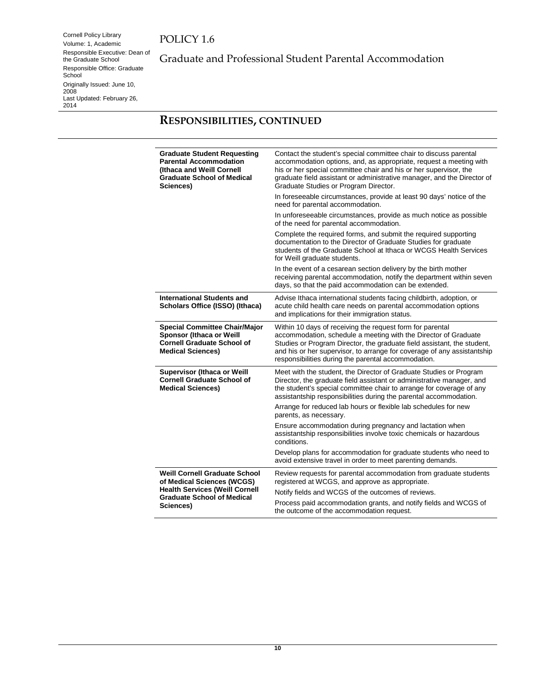Cornell Policy Library Volume: 1, Academic Responsible Executive: Dean of the Graduate School Responsible Office: Graduate School Originally Issued: June 10, 2008 Last Updated: February 26, 2014

Graduate and Professional Student Parental Accommodation

# **RESPONSIBILITIES, CONTINUED**

| <b>Graduate Student Requesting</b><br><b>Parental Accommodation</b><br><b>(Ithaca and Weill Cornell)</b><br><b>Graduate School of Medical</b><br>Sciences) | Contact the student's special committee chair to discuss parental<br>accommodation options, and, as appropriate, request a meeting with<br>his or her special committee chair and his or her supervisor, the<br>graduate field assistant or administrative manager, and the Director of<br>Graduate Studies or Program Director.          |
|------------------------------------------------------------------------------------------------------------------------------------------------------------|-------------------------------------------------------------------------------------------------------------------------------------------------------------------------------------------------------------------------------------------------------------------------------------------------------------------------------------------|
|                                                                                                                                                            | In foreseeable circumstances, provide at least 90 days' notice of the<br>need for parental accommodation.                                                                                                                                                                                                                                 |
|                                                                                                                                                            | In unforeseeable circumstances, provide as much notice as possible<br>of the need for parental accommodation.                                                                                                                                                                                                                             |
|                                                                                                                                                            | Complete the required forms, and submit the required supporting<br>documentation to the Director of Graduate Studies for graduate<br>students of the Graduate School at Ithaca or WCGS Health Services<br>for Weill graduate students.                                                                                                    |
|                                                                                                                                                            | In the event of a cesarean section delivery by the birth mother<br>receiving parental accommodation, notify the department within seven<br>days, so that the paid accommodation can be extended.                                                                                                                                          |
| <b>International Students and</b><br><b>Scholars Office (ISSO) (Ithaca)</b>                                                                                | Advise Ithaca international students facing childbirth, adoption, or<br>acute child health care needs on parental accommodation options<br>and implications for their immigration status.                                                                                                                                                 |
| <b>Special Committee Chair/Major</b><br><b>Sponsor (Ithaca or Weill</b><br><b>Cornell Graduate School of</b><br><b>Medical Sciences)</b>                   | Within 10 days of receiving the request form for parental<br>accommodation, schedule a meeting with the Director of Graduate<br>Studies or Program Director, the graduate field assistant, the student,<br>and his or her supervisor, to arrange for coverage of any assistantship<br>responsibilities during the parental accommodation. |
| <b>Supervisor (Ithaca or Weill</b><br><b>Cornell Graduate School of</b><br><b>Medical Sciences)</b>                                                        | Meet with the student, the Director of Graduate Studies or Program<br>Director, the graduate field assistant or administrative manager, and<br>the student's special committee chair to arrange for coverage of any<br>assistantship responsibilities during the parental accommodation.                                                  |
|                                                                                                                                                            | Arrange for reduced lab hours or flexible lab schedules for new<br>parents, as necessary.                                                                                                                                                                                                                                                 |
|                                                                                                                                                            | Ensure accommodation during pregnancy and lactation when<br>assistantship responsibilities involve toxic chemicals or hazardous<br>conditions.                                                                                                                                                                                            |
|                                                                                                                                                            | Develop plans for accommodation for graduate students who need to<br>avoid extensive travel in order to meet parenting demands.                                                                                                                                                                                                           |
| <b>Weill Cornell Graduate School</b><br>of Medical Sciences (WCGS)                                                                                         | Review requests for parental accommodation from graduate students<br>registered at WCGS, and approve as appropriate.                                                                                                                                                                                                                      |
| <b>Health Services (Weill Cornell</b><br><b>Graduate School of Medical</b>                                                                                 | Notify fields and WCGS of the outcomes of reviews.                                                                                                                                                                                                                                                                                        |
| Sciences)                                                                                                                                                  | Process paid accommodation grants, and notify fields and WCGS of<br>the outcome of the accommodation request.                                                                                                                                                                                                                             |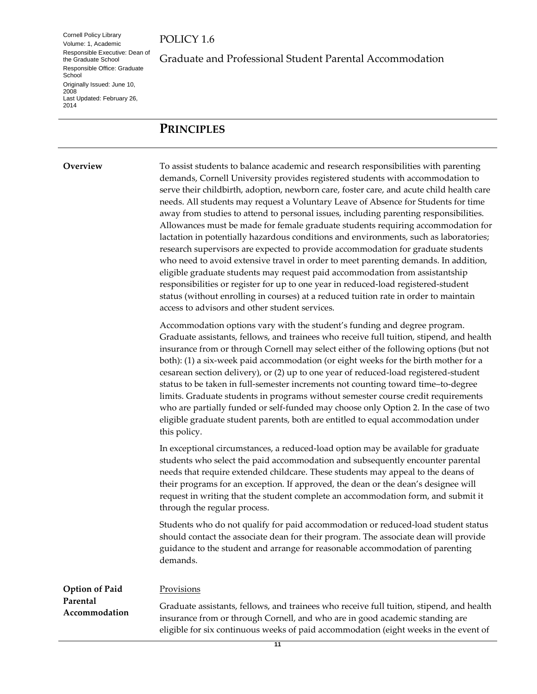Cornell Policy Library Volume: 1, Academic Responsible Executive: Dean of the Graduate School Responsible Office: Graduate **School** Originally Issued: June 10, 2008 Last Updated: February 26, 2014

Graduate and Professional Student Parental Accommodation

# <span id="page-10-0"></span>**PRINCIPLES**

<span id="page-10-1"></span>**Overview** To assist students to balance academic and research responsibilities with parenting demands, Cornell University provides registered students with accommodation to serve their childbirth, adoption, newborn care, foster care, and acute child health care needs. All students may request a Voluntary Leave of Absence for Students for time away from studies to attend to personal issues, including parenting responsibilities. Allowances must be made for female graduate students requiring accommodation for lactation in potentially hazardous conditions and environments, such as laboratories; research supervisors are expected to provide accommodation for graduate students who need to avoid extensive travel in order to meet parenting demands. In addition, eligible graduate students may request paid accommodation from assistantship responsibilities or register for up to one year in reduced-load registered-student status (without enrolling in courses) at a reduced tuition rate in order to maintain access to advisors and other student services.

> Accommodation options vary with the student's funding and degree program. Graduate assistants, fellows, and trainees who receive full tuition, stipend, and health insurance from or through Cornell may select either of the following options (but not both): (1) a six-week paid accommodation (or eight weeks for the birth mother for a cesarean section delivery), or (2) up to one year of reduced-load registered-student status to be taken in full-semester increments not counting toward time–to-degree limits. Graduate students in programs without semester course credit requirements who are partially funded or self-funded may choose only Option 2. In the case of two eligible graduate student parents, both are entitled to equal accommodation under this policy.

In exceptional circumstances, a reduced-load option may be available for graduate students who select the paid accommodation and subsequently encounter parental needs that require extended childcare. These students may appeal to the deans of their programs for an exception. If approved, the dean or the dean's designee will request in writing that the student complete an accommodation form, and submit it through the regular process.

Students who do not qualify for paid accommodation or reduced-load student status should contact the associate dean for their program. The associate dean will provide guidance to the student and arrange for reasonable accommodation of parenting demands.

<span id="page-10-2"></span>

| Option of Paid            | Provisions                                                                                                                                                               |
|---------------------------|--------------------------------------------------------------------------------------------------------------------------------------------------------------------------|
| Parental<br>Accommodation | Graduate assistants, fellows, and trainees who receive full tuition, stipend, and health<br>insurance from or through Cornell, and who are in good academic standing are |
|                           | eligible for six continuous weeks of paid accommodation (eight weeks in the event of                                                                                     |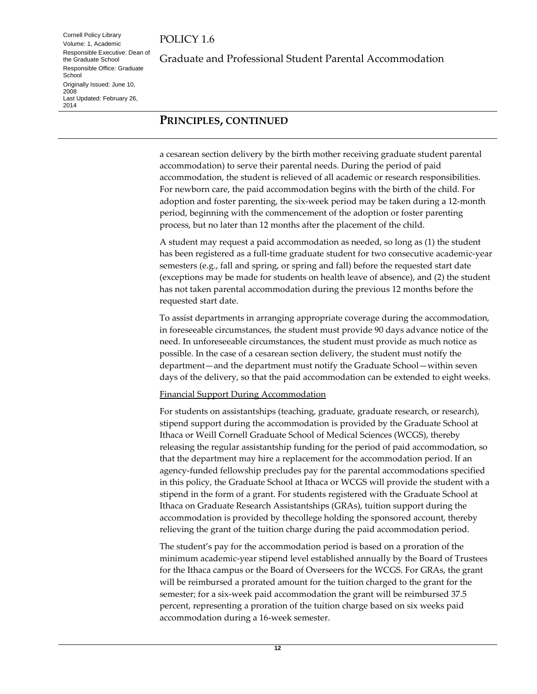Cornell Policy Library Volume: 1, Academic Responsible Executive: Dean of the Graduate School Responsible Office: Graduate **School** Originally Issued: June 10, 2008 Last Updated: February 26, 2014

Graduate and Professional Student Parental Accommodation

#### **PRINCIPLES, CONTINUED**

a cesarean section delivery by the birth mother receiving graduate student parental accommodation) to serve their parental needs. During the period of paid accommodation, the student is relieved of all academic or research responsibilities. For newborn care, the paid accommodation begins with the birth of the child. For adoption and foster parenting, the six-week period may be taken during a 12-month period, beginning with the commencement of the adoption or foster parenting process, but no later than 12 months after the placement of the child.

A student may request a paid accommodation as needed, so long as (1) the student has been registered as a full-time graduate student for two consecutive academic-year semesters (e.g., fall and spring, or spring and fall) before the requested start date (exceptions may be made for students on health leave of absence), and (2) the student has not taken parental accommodation during the previous 12 months before the requested start date.

To assist departments in arranging appropriate coverage during the accommodation, in foreseeable circumstances, the student must provide 90 days advance notice of the need. In unforeseeable circumstances, the student must provide as much notice as possible. In the case of a cesarean section delivery, the student must notify the department—and the department must notify the Graduate School—within seven days of the delivery, so that the paid accommodation can be extended to eight weeks.

#### Financial Support During Accommodation

For students on assistantships (teaching, graduate, graduate research, or research), stipend support during the accommodation is provided by the Graduate School at Ithaca or Weill Cornell Graduate School of Medical Sciences (WCGS), thereby releasing the regular assistantship funding for the period of paid accommodation, so that the department may hire a replacement for the accommodation period. If an agency-funded fellowship precludes pay for the parental accommodations specified in this policy, the Graduate School at Ithaca or WCGS will provide the student with a stipend in the form of a grant. For students registered with the Graduate School at Ithaca on Graduate Research Assistantships (GRAs), tuition support during the accommodation is provided by thecollege holding the sponsored account, thereby relieving the grant of the tuition charge during the paid accommodation period.

The student's pay for the accommodation period is based on a proration of the minimum academic-year stipend level established annually by the Board of Trustees for the Ithaca campus or the Board of Overseers for the WCGS. For GRAs, the grant will be reimbursed a prorated amount for the tuition charged to the grant for the semester; for a six-week paid accommodation the grant will be reimbursed 37.5 percent, representing a proration of the tuition charge based on six weeks paid accommodation during a 16-week semester.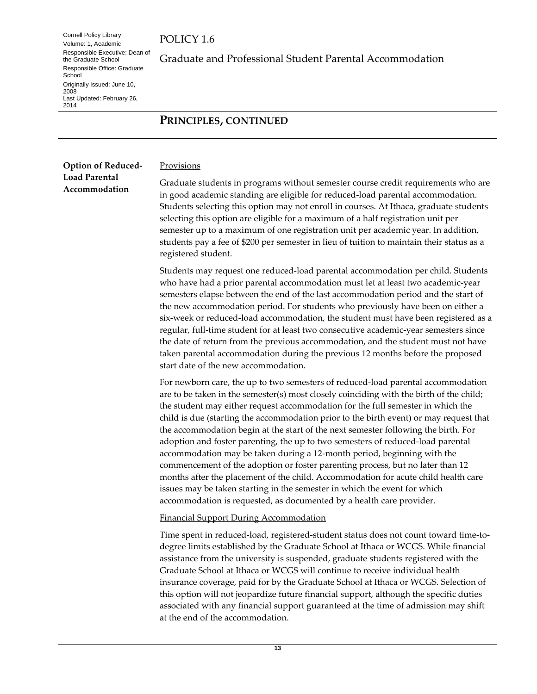Cornell Policy Library Volume: 1, Academic Responsible Executive: Dean of the Graduate School Responsible Office: Graduate **School** Originally Issued: June 10, 2008 Last Updated: February 26, 2014

Graduate and Professional Student Parental Accommodation

#### **PRINCIPLES, CONTINUED**

<span id="page-12-0"></span>**Option of Reduced-Load Parental** 

**Accommodation**

Provisions

Graduate students in programs without semester course credit requirements who are in good academic standing are eligible for reduced-load parental accommodation. Students selecting this option may not enroll in courses. At Ithaca, graduate students selecting this option are eligible for a maximum of a half registration unit per semester up to a maximum of one registration unit per academic year. In addition, students pay a fee of \$200 per semester in lieu of tuition to maintain their status as a registered student.

Students may request one reduced-load parental accommodation per child. Students who have had a prior parental accommodation must let at least two academic-year semesters elapse between the end of the last accommodation period and the start of the new accommodation period. For students who previously have been on either a six-week or reduced-load accommodation, the student must have been registered as a regular, full-time student for at least two consecutive academic-year semesters since the date of return from the previous accommodation, and the student must not have taken parental accommodation during the previous 12 months before the proposed start date of the new accommodation.

For newborn care, the up to two semesters of reduced-load parental accommodation are to be taken in the semester(s) most closely coinciding with the birth of the child; the student may either request accommodation for the full semester in which the child is due (starting the accommodation prior to the birth event) or may request that the accommodation begin at the start of the next semester following the birth. For adoption and foster parenting, the up to two semesters of reduced-load parental accommodation may be taken during a 12-month period, beginning with the commencement of the adoption or foster parenting process, but no later than 12 months after the placement of the child. Accommodation for acute child health care issues may be taken starting in the semester in which the event for which accommodation is requested, as documented by a health care provider.

#### Financial Support During Accommodation

Time spent in reduced-load, registered-student status does not count toward time-todegree limits established by the Graduate School at Ithaca or WCGS. While financial assistance from the university is suspended, graduate students registered with the Graduate School at Ithaca or WCGS will continue to receive individual health insurance coverage, paid for by the Graduate School at Ithaca or WCGS. Selection of this option will not jeopardize future financial support, although the specific duties associated with any financial support guaranteed at the time of admission may shift at the end of the accommodation.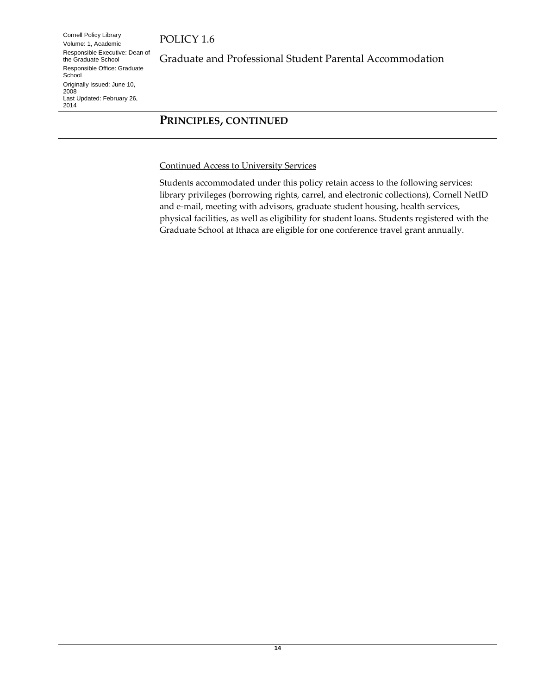Cornell Policy Library Volume: 1, Academic Responsible Executive: Dean of the Graduate School Responsible Office: Graduate **School** Originally Issued: June 10, 2008 Last Updated: February 26, 2014

Graduate and Professional Student Parental Accommodation

#### **PRINCIPLES, CONTINUED**

Continued Access to University Services

Students accommodated under this policy retain access to the following services: library privileges (borrowing rights, carrel, and electronic collections), Cornell NetID and e-mail, meeting with advisors, graduate student housing, health services, physical facilities, as well as eligibility for student loans. Students registered with the Graduate School at Ithaca are eligible for one conference travel grant annually.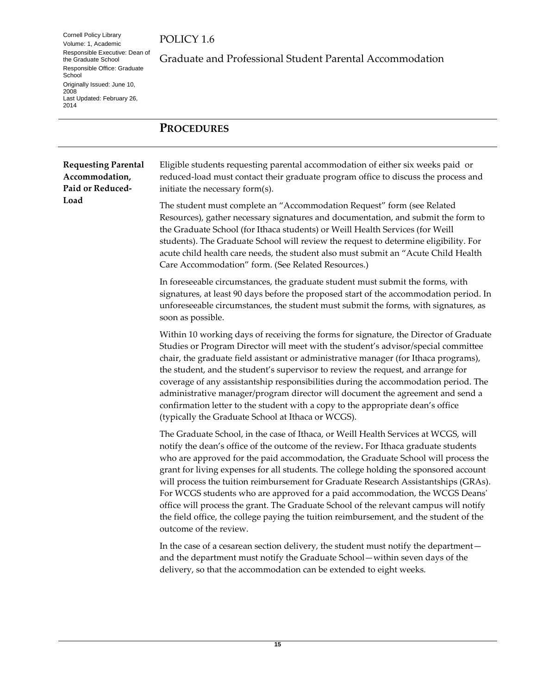Cornell Policy Library Volume: 1, Academic Responsible Executive: Dean of the Graduate School Responsible Office: Graduate School Originally Issued: June 10, 2008 Last Updated: February 26, 2014

POLICY 1.6

Graduate and Professional Student Parental Accommodation

#### <span id="page-14-0"></span>**PROCEDURES**

<span id="page-14-1"></span>

| <b>Requesting Parental</b><br>Accommodation,<br>Paid or Reduced- | Eligible students requesting parental accommodation of either six weeks paid or<br>reduced-load must contact their graduate program office to discuss the process and<br>initiate the necessary form(s).                                                                                                                                                                                                                                                                                                                                                                                                                                                                                                                                    |
|------------------------------------------------------------------|---------------------------------------------------------------------------------------------------------------------------------------------------------------------------------------------------------------------------------------------------------------------------------------------------------------------------------------------------------------------------------------------------------------------------------------------------------------------------------------------------------------------------------------------------------------------------------------------------------------------------------------------------------------------------------------------------------------------------------------------|
| Load                                                             | The student must complete an "Accommodation Request" form (see Related<br>Resources), gather necessary signatures and documentation, and submit the form to<br>the Graduate School (for Ithaca students) or Weill Health Services (for Weill<br>students). The Graduate School will review the request to determine eligibility. For<br>acute child health care needs, the student also must submit an "Acute Child Health<br>Care Accommodation" form. (See Related Resources.)                                                                                                                                                                                                                                                            |
|                                                                  | In foreseeable circumstances, the graduate student must submit the forms, with<br>signatures, at least 90 days before the proposed start of the accommodation period. In<br>unforeseeable circumstances, the student must submit the forms, with signatures, as<br>soon as possible.                                                                                                                                                                                                                                                                                                                                                                                                                                                        |
|                                                                  | Within 10 working days of receiving the forms for signature, the Director of Graduate<br>Studies or Program Director will meet with the student's advisor/special committee<br>chair, the graduate field assistant or administrative manager (for Ithaca programs),<br>the student, and the student's supervisor to review the request, and arrange for<br>coverage of any assistantship responsibilities during the accommodation period. The<br>administrative manager/program director will document the agreement and send a<br>confirmation letter to the student with a copy to the appropriate dean's office<br>(typically the Graduate School at Ithaca or WCGS).                                                                   |
|                                                                  | The Graduate School, in the case of Ithaca, or Weill Health Services at WCGS, will<br>notify the dean's office of the outcome of the review. For Ithaca graduate students<br>who are approved for the paid accommodation, the Graduate School will process the<br>grant for living expenses for all students. The college holding the sponsored account<br>will process the tuition reimbursement for Graduate Research Assistantships (GRAs).<br>For WCGS students who are approved for a paid accommodation, the WCGS Deans'<br>office will process the grant. The Graduate School of the relevant campus will notify<br>the field office, the college paying the tuition reimbursement, and the student of the<br>outcome of the review. |
|                                                                  | In the case of a cesarean section delivery, the student must notify the department-<br>and the department must notify the Graduate School-within seven days of the<br>delivery, so that the accommodation can be extended to eight weeks.                                                                                                                                                                                                                                                                                                                                                                                                                                                                                                   |

**15**